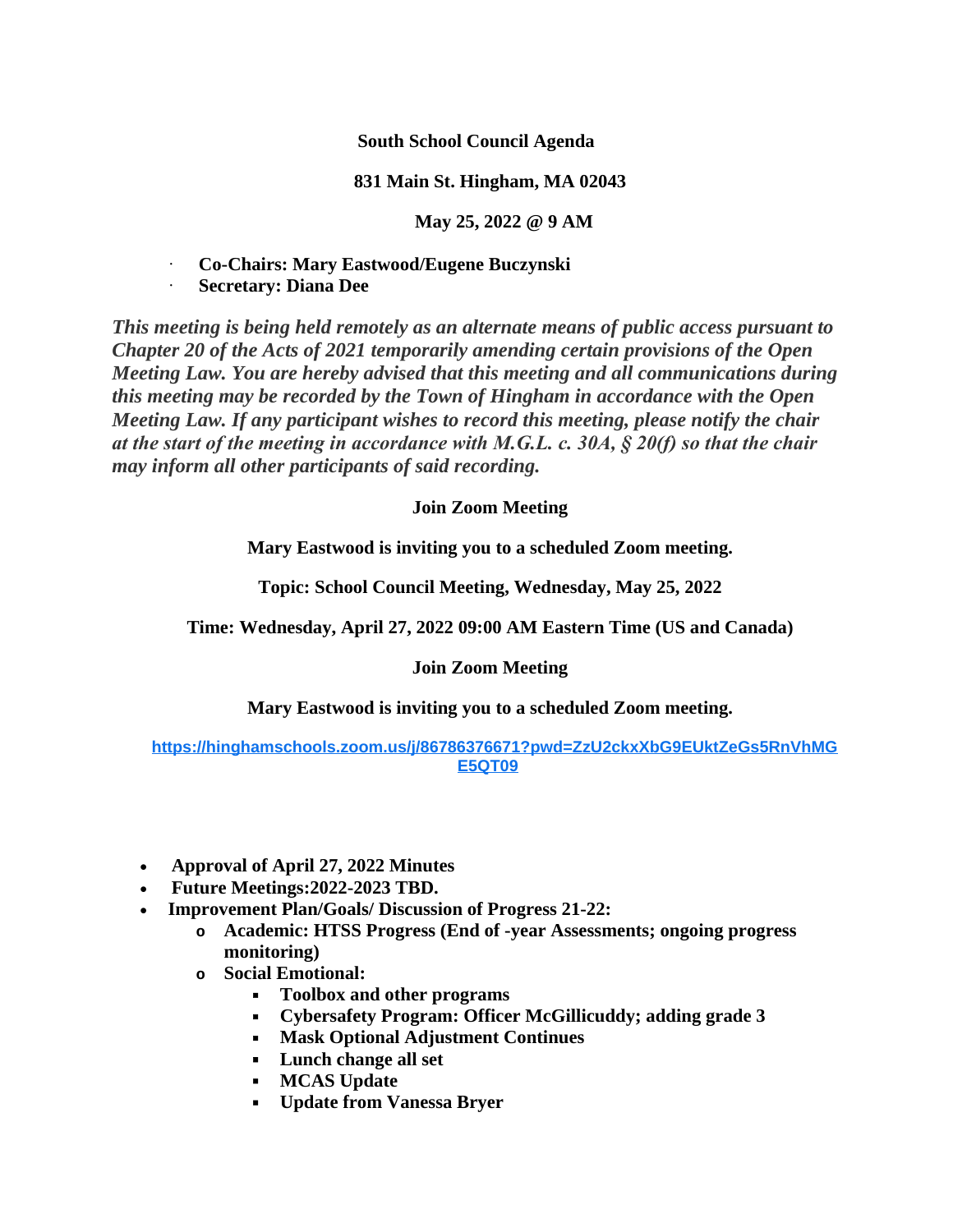**South School Council Agenda**

## **831 Main St. Hingham, MA 02043**

**May 25, 2022 @ 9 AM**

· **Co-Chairs: Mary Eastwood/Eugene Buczynski**

· **Secretary: Diana Dee**

*This meeting is being held remotely as an alternate means of public access pursuant to Chapter 20 of the Acts of 2021 temporarily amending certain provisions of the Open Meeting Law. You are hereby advised that this meeting and all communications during this meeting may be recorded by the Town of Hingham in accordance with the Open Meeting Law. If any participant wishes to record this meeting, please notify the chair at the start of the meeting in accordance with M.G.L. c. 30A, § 20(f) so that the chair may inform all other participants of said recording.*

## **Join Zoom Meeting**

**Mary Eastwood is inviting you to a scheduled Zoom meeting.**

**Topic: School Council Meeting, Wednesday, May 25, 2022**

**Time: Wednesday, April 27, 2022 09:00 AM Eastern Time (US and Canada)**

## **Join Zoom Meeting**

**Mary Eastwood is inviting you to a scheduled Zoom meeting.**

## **[https://hinghamschools.zoom.us/j/86786376671?pwd=ZzU2ckxXbG9EUktZeGs5RnVhMG](https://hinghamschools.zoom.us/j/86786376671?pwd=ZzU2ckxXbG9EUktZeGs5RnVhMGE5QT09) E5QT09**

- **Approval of April 27, 2022 Minutes**
- **Future Meetings:2022-2023 TBD.**
- **Improvement Plan/Goals/ Discussion of Progress 21-22:**
	- **o Academic: HTSS Progress (End of -year Assessments; ongoing progress monitoring)**
	- **o Social Emotional:**
		- **Toolbox and other programs**
		- **Cybersafety Program: Officer McGillicuddy; adding grade 3**
		- **Mask Optional Adjustment Continues**
		- **Lunch change all set**
		- **MCAS Update**
		- **Update from Vanessa Bryer**